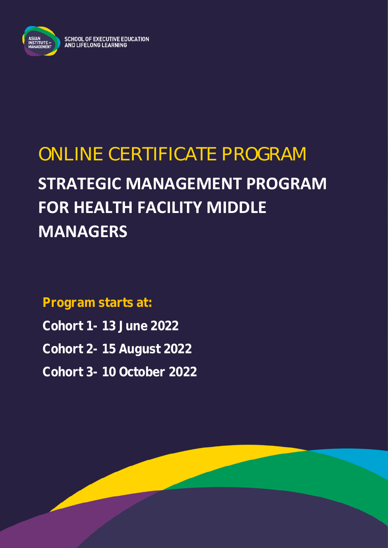

SCHOOL OF EXECUTIVE EDUCATION<br>AND LIFELONG LEARNING

# ONLINE CERTIFICATE PROGRAM **STRATEGIC MANAGEMENT PROGRAM FOR HEALTH FACILITY MIDDLE MANAGERS**

**Program starts at: Cohort 1- 13 June 2022 Cohort 2- 15 August 2022 Cohort 3- 10 October 2022**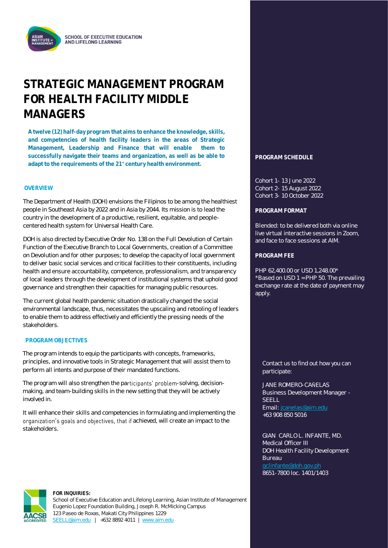

### **STRATEGIC MANAGEMENT PROGRAM FOR HEALTH FACILITY MIDDLE MANAGERS**

**A twelve (12) half-day program that aims to enhance the knowledge, skills, and competencies of health facility leaders in the areas of Strategic Management, Leadership and Finance that will enable them to successfully navigate their teams and organization, as well as be able to**  adapt to the requirements of the 21<sup><sup>t</sup></sup> century health environment.

#### **OVERVIEW**

The Department of Health (DOH) envisions the Filipinos to be among the healthiest people in Southeast Asia by 2022 and in Asia by 2044. Its mission is to lead the country in the development of a productive, resilient, equitable, and peoplecentered health system for Universal Health Care.

DOH is also directed by Executive Order No. 138 on the Full Devolution of Certain Function of the Executive Branch to Local Governments, creation of a Committee on Devolution and for other purposes; to develop the capacity of local government to deliver basic social services and critical facilities to their constituents, including health and ensure accountability, competence, professionalism, and transparency of local leaders through the development of institutional systems that uphold good governance and strengthen their capacities for managing public resources.

The current global health pandemic situation drastically changed the social environmental landscape, thus, necessitates the upscaling and retooling of leaders to enable them to address effectively and efficiently the pressing needs of the stakeholders.

#### **PROGRAM OBJECTIVES**

The program intends to equip the participants with concepts, frameworks, principles, and innovative tools in Strategic Management that will assist them to perform all intents and purpose of their mandated functions.

The program will also strengthen the participants' problem-solving, decisionmaking, and team-building skills in the new setting that they will be actively involved in.

It will enhance their skills and competencies in formulating and implementing the organization's goals and objectives, that if achieved, will create an impact to the stakeholders.

#### **PROGRAM SCHEDULE**

Cohort 1- 13 June 2022 Cohort 2- 15 August 2022 Cohort 3- 10 October 2022

#### **PROGRAM FORMAT**

Blended: to be delivered both via online live virtual interactive sessions in Zoom, and face to face sessions at AIM.

#### **PROGRAM FEE**

PHP 62,400.00 or USD 1,248.00\* \*Based on USD 1 = PHP 50. The prevailing exchange rate at the date of payment may apply.

Contact us to find out how you can participate:

JANE ROMERO-CAŇELAS Business Development Manager - SEELL Email[: jcanelas@aim.edu](mailto:jcanelas@aim.edu) +63 908 850 5016

GIAN CARLO L. INFANTE, MD. Medical Officer III DOH Health Facility Development Bureau 8651-7800 loc. 1401/1403



**FOR INQUIRIES:** School of Executive Education and Lifelong Learning, Asian Institute of Management Eugenio Lopez Foundation Building, Joseph R. McMicking Campus 123 Paseo de Roxas, Makati City Philippines 1229 [SEELL@aim.edu](mailto:SEELL@aim.edu) | +632 8892 4011 | [www.aim.edu](http://www.aim.edu/)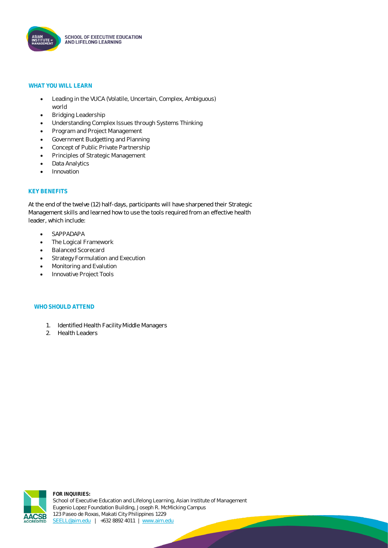

#### **WHAT YOU WILL LEARN**

- Leading in the VUCA (Volatile, Uncertain, Complex, Ambiguous) world
- Bridging Leadership
- Understanding Complex Issues through Systems Thinking
- Program and Project Management
- Government Budgetting and Planning
- Concept of Public Private Partnership
- Principles of Strategic Management
- Data Analytics
- **Innovation**

#### **KEY BENEFITS**

At the end of the twelve (12) half-days, participants will have sharpened their Strategic Management skills and learned how to use the tools required from an effective health leader, which include:

- SAPPADAPA
- The Logical Framework
- Balanced Scorecard
- **Strategy Formulation and Execution**
- Monitoring and Evalution
- Innovative Project Tools

#### **WHO SHOULD ATTEND**

- 1. Identified Health Facility Middle Managers
- 2. Health Leaders



**FOR INQUIRIES:** School of Executive Education and Lifelong Learning, Asian Institute of Management Eugenio Lopez Foundation Building, Joseph R. McMicking Campus 123 Paseo de Roxas, Makati City Philippines 1229 [SEELL@aim.edu](mailto:SEELL@aim.edu) | +632 8892 4011 | [www.aim.edu](http://www.aim.edu/)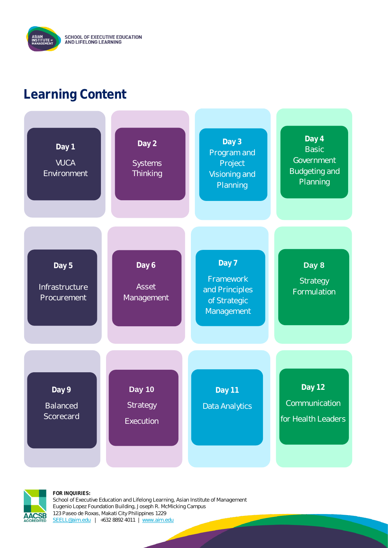## **Learning Content**





**FOR INQUIRIES:**

School of Executive Education and Lifelong Learning, Asian Institute of Management Eugenio Lopez Foundation Building, Joseph R. McMicking Campus 123 Paseo de Roxas, Makati City Philippines 1229 [SEELL@aim.edu](mailto:SEELL@aim.edu) | +632 8892 4011 | [www.aim.edu](http://www.aim.edu/)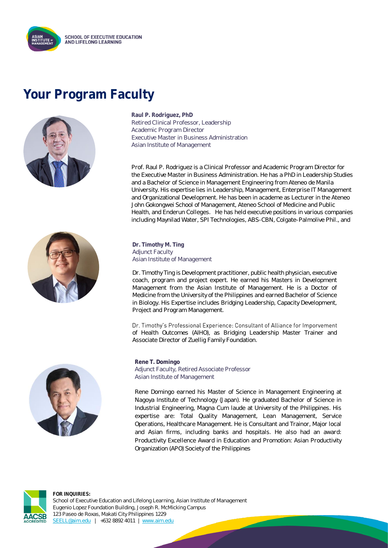

### **Your Program Faculty**





**Raul P. Rodriguez, PhD** Retired Clinical Professor, Leadership Academic Program Director Executive Master in Business Administration Asian Institute of Management

Prof. Raul P. Rodriguez is a Clinical Professor and Academic Program Director for the Executive Master in Business Administration. He has a PhD in Leadership Studies and a Bachelor of Science in Management Engineering from Ateneo de Manila University. His expertise lies in Leadership, Management, Enterprise IT Management and Organizational Development. He has been in academe as Lecturer in the Ateneo John Gokongwei School of Management, Ateneo School of Medicine and Public Health, and Enderun Colleges. He has held executive positions in various companies including Maynilad Water, SPI Technologies, ABS-CBN, Colgate-Palmolive Phil., and

**Dr. Timothy M. Ting** Adjunct Faculty Asian Institute of Management

Dr. Timothy Ting is Development practitioner, public health physician, executive coach, program and project expert. He earned his Masters in Development Management from the Asian Institute of Management. He is a Doctor of Medicine from the University of the Philippines and earned Bachelor of Science in Biology. His Expertise includes Bridging Leadership, Capacity Development, Project and Program Management.

Dr. Timothy's Professional Experience: Consultant of Alliance for Imporvement of Health Outcomes (AIHO), as Bridging Leadership Master Trainer and Associate Director of Zuellig Family Foundation.



**Rene T. Domingo** Adjunct Faculty, Retired Associate Professor Asian Institute of Management

Rene Domingo earned his Master of Science in Management Engineering at Nagoya Institute of Technology (Japan). He graduated Bachelor of Science in Industrial Engineering, Magna Cum laude at University of the Philippines. His expertise are: Total Quality Management, Lean Management, Service Operations, Healthcare Management. He is Consultant and Trainor, Major local and Asian firms, including banks and hospitals. He also had an award: Productivity Excellence Award in Education and Promotion: Asian Productivity Organization (APO) Society of the Philippines



**FOR INQUIRIES:** School of Executive Education and Lifelong Learning, Asian Institute of Management Eugenio Lopez Foundation Building, Joseph R. McMicking Campus 123 Paseo de Roxas, Makati City Philippines 1229 [SEELL@aim.edu](mailto:SEELL@aim.edu) | +632 8892 4011 | [www.aim.edu](http://www.aim.edu/)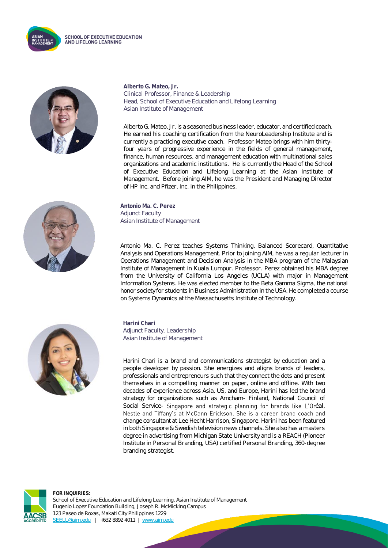



**Alberto G. Mateo, Jr.** Clinical Professor, Finance & Leadership Head, School of Executive Education and Lifelong Learning Asian Institute of Management

Alberto G. Mateo, Jr. is a seasoned business leader, educator, and certified coach. He earned his coaching certification from the NeuroLeadership Institute and is currently a practicing executive coach. Professor Mateo brings with him thirtyfour years of progressive experience in the fields of general management, finance, human resources, and management education with multinational sales organizations and academic institutions. He is currently the Head of the School of Executive Education and Lifelong Learning at the Asian Institute of Management. Before joining AIM, he was the President and Managing Director of HP Inc. and Pfizer, Inc. in the Philippines.



**Antonio Ma. C. Perez** Adjunct Faculty Asian Institute of Management

Antonio Ma. C. Perez teaches Systems Thinking, Balanced Scorecard, Quantitative Analysis and Operations Management. Prior to joining AIM, he was a regular lecturer in Operations Management and Decision Analysis in the MBA program of the Malaysian Institute of Management in Kuala Lumpur. Professor. Perez obtained his MBA degree from the University of California Los Angeles (UCLA) with major in Management Information Systems. He was elected member to the Beta Gamma Sigma, the national honor society for students in Business Administration in the USA. He completed a course on Systems Dynamics at the Massachusetts Institute of Technology.



**Harini Chari** Adjunct Faculty, Leadership Asian Institute of Management

Harini Chari is a brand and communications strategist by education and a people developer by passion. She energizes and aligns brands of leaders, professionals and entrepreneurs such that they connect the dots and present themselves in a compelling manner on paper, online and offline. With two decades of experience across Asia, US, and Europe, Harini has led the brand strategy for organizations such as Amcham- Finland, National Council of Social Service- Singapore and strategic planning for brands like L'Oréal, Nestle and Tiffany's at McCann Erickson. She is a career brand coach and change consultant at Lee Hecht Harrison, Singapore. Harini has been featured in both Singapore & Swedish television news channels. She also has a masters degree in advertising from Michigan State University and is a REACH (Pioneer Institute in Personal Branding, USA) certified Personal Branding, 360-degree branding strategist.



**FOR INQUIRIES:** School of Executive Education and Lifelong Learning, Asian Institute of Management Eugenio Lopez Foundation Building, Joseph R. McMicking Campus 123 Paseo de Roxas, Makati City Philippines 1229 [SEELL@aim.edu](mailto:SEELL@aim.edu) | +632 8892 4011 | [www.aim.edu](http://www.aim.edu/)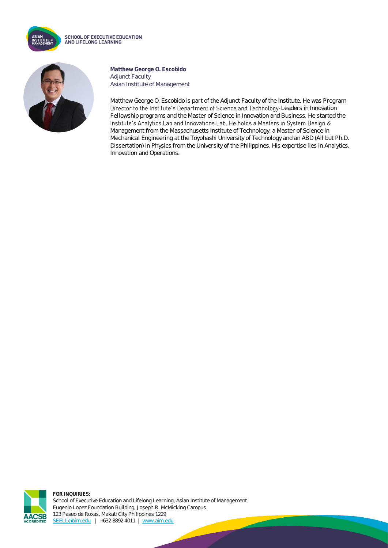

**SCHOOL OF EXECUTIVE EDUCATION** AND LIFELONG LEARNING



**Matthew George O. Escobido** Adjunct Faculty Asian Institute of Management

Matthew George O. Escobido is part of the Adjunct Faculty of the Institute. He was Program Director to the Institute's Department of Science and Technology-Leaders in Innovation Fellowship programs and the Master of Science in Innovation and Business. He started the Institute's Analytics Lab and Innovations Lab. He holds a Masters in System Design & Management from the Massachusetts Institute of Technology, a Master of Science in Mechanical Engineering at the Toyohashi University of Technology and an ABD (All but Ph.D. Dissertation) in Physics from the University of the Philippines. His expertise lies in Analytics, Innovation and Operations.



**FOR INQUIRIES:** School of Executive Education and Lifelong Learning, Asian Institute of Management Eugenio Lopez Foundation Building, Joseph R. McMicking Campus 123 Paseo de Roxas, Makati City Philippines 1229 [SEELL@aim.edu](mailto:SEELL@aim.edu) | +632 8892 4011 | [www.aim.edu](http://www.aim.edu/)